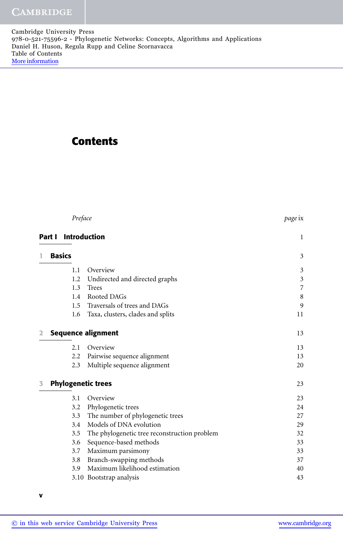## **Contents**

|   |        | Preface       |                                              | page ix        |
|---|--------|---------------|----------------------------------------------|----------------|
|   | Part I | Introduction  |                                              | $\mathbf{1}$   |
| 1 |        | <b>Basics</b> |                                              | 3              |
|   |        | 1.1           | Overview                                     | 3              |
|   |        | 1.2           | Undirected and directed graphs               | $\mathfrak{Z}$ |
|   |        | 1.3           | <b>Trees</b>                                 | $\overline{7}$ |
|   |        | 1.4           | Rooted DAGs                                  | $\,8\,$        |
|   |        |               | 1.5 Traversals of trees and DAGs             | 9              |
|   |        | 1.6           | Taxa, clusters, clades and splits            | 11             |
| 2 |        |               | <b>Sequence alignment</b>                    | 13             |
|   |        | 2.1           | Overview                                     | 13             |
|   |        |               | 2.2 Pairwise sequence alignment              | 13             |
|   |        | 2.3           | Multiple sequence alignment                  | 20             |
| 3 |        |               | <b>Phylogenetic trees</b>                    | 23             |
|   |        | 3.1           | Overview                                     | 23             |
|   |        | 3.2           | Phylogenetic trees                           | 24             |
|   |        | 3.3           | The number of phylogenetic trees             | 27             |
|   |        | 3.4           | Models of DNA evolution                      | 29             |
|   |        | 3.5           | The phylogenetic tree reconstruction problem | 32             |
|   |        | 3.6           | Sequence-based methods                       | 33             |
|   |        | 3.7           | Maximum parsimony                            | 33             |
|   |        | 3.8           | Branch-swapping methods                      | 37             |
|   |        | 3.9           | Maximum likelihood estimation                | 40             |
|   |        |               | 3.10 Bootstrap analysis                      | 43             |

 $\overline{\phantom{0}}$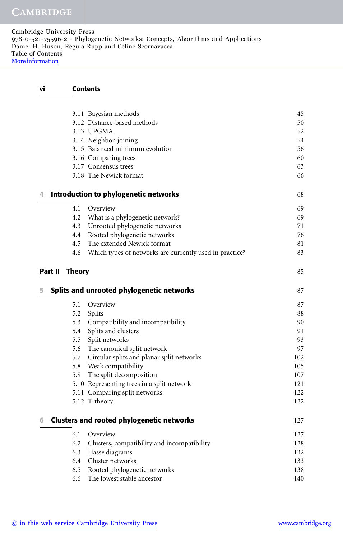## vi Contents

|   |                | 3.11 Bayesian methods                                   | 45         |
|---|----------------|---------------------------------------------------------|------------|
|   |                | 3.12 Distance-based methods                             | 50         |
|   |                | 3.13 UPGMA                                              | 52         |
|   |                | 3.14 Neighbor-joining                                   | 54         |
|   |                | 3.15 Balanced minimum evolution                         | 56         |
|   |                | 3.16 Comparing trees                                    | 60         |
|   |                | 3.17 Consensus trees                                    | 63         |
|   |                | 3.18 The Newick format                                  | 66         |
| 4 |                | Introduction to phylogenetic networks                   | 68         |
|   | 4.1            | Overview                                                | 69         |
|   |                | 4.2 What is a phylogenetic network?                     | 69         |
|   |                | 4.3 Unrooted phylogenetic networks                      | 71         |
|   |                | 4.4 Rooted phylogenetic networks                        | 76         |
|   | 4.5            | The extended Newick format                              | 81         |
|   | 4.6            | Which types of networks are currently used in practice? | 83         |
|   | Part II Theory |                                                         | 85         |
| 5 |                | Splits and unrooted phylogenetic networks               | 87         |
|   |                |                                                         |            |
|   | 5.1            | Overview                                                | 87         |
|   |                |                                                         | 88         |
|   |                | 5.2 Splits<br>5.3 Compatibility and incompatibility     | 90         |
|   |                | 5.4 Splits and clusters                                 | 91         |
|   |                | 5.5 Split networks                                      | 93         |
|   |                | 5.6 The canonical split network                         | 97         |
|   |                | 5.7 Circular splits and planar split networks           | 102        |
|   |                | 5.8 Weak compatibility                                  | 105        |
|   |                | 5.9 The split decomposition                             | 107        |
|   |                | 5.10 Representing trees in a split network              | 121        |
|   |                | 5.11 Comparing split networks                           |            |
|   |                | 5.12 T-theory                                           | 122<br>122 |
| 6 |                | <b>Clusters and rooted phylogenetic networks</b>        |            |
|   | 6.1            | Overview                                                | 127<br>127 |
|   | 6.2            | Clusters, compatibility and incompatibility             | 128        |
|   | 6.3            | Hasse diagrams                                          | 132        |
|   | 6.4            | Cluster networks                                        | 133        |
|   | 6.5            | Rooted phylogenetic networks                            | 138        |
|   | 6.6            | The lowest stable ancestor                              | 140        |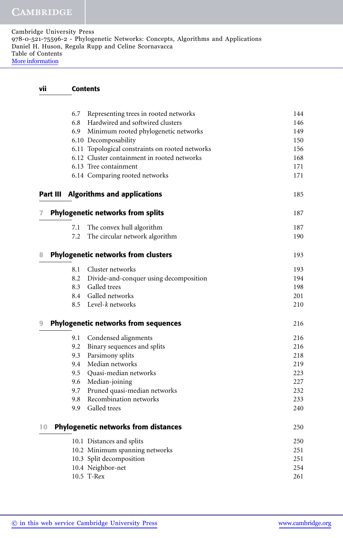## vii Contents

|          | 6.7 | Representing trees in rooted networks           | 144        |
|----------|-----|-------------------------------------------------|------------|
|          | 6.8 | Hardwired and softwired clusters                | 146        |
|          | 6.9 | Minimum rooted phylogenetic networks            | 149        |
|          |     | 6.10 Decomposability                            | 150        |
|          |     | 6.11 Topological constraints on rooted networks | 156        |
|          |     | 6.12 Cluster containment in rooted networks     | 168        |
|          |     | 6.13 Tree containment                           | 171<br>171 |
|          |     | 6.14 Comparing rooted networks                  |            |
| Part III |     | <b>Algorithms and applications</b>              | 185        |
| 7        |     | <b>Phylogenetic networks from splits</b>        | 187        |
|          | 7.1 | The convex hull algorithm                       | 187        |
|          | 7.2 | The circular network algorithm                  | 190        |
| 8        |     | <b>Phylogenetic networks from clusters</b>      | 193        |
|          | 8.1 | Cluster networks                                | 193        |
|          | 8.2 | Divide-and-conquer using decomposition          | 194        |
|          | 8.3 | Galled trees                                    | 198        |
|          | 8.4 | Galled networks                                 | 201        |
|          |     | 8.5 Level-k networks                            | 210        |
| 9        |     | <b>Phylogenetic networks from sequences</b>     | 216        |
|          | 9.1 | Condensed alignments                            | 216        |
|          | 9.2 | Binary sequences and splits                     | 216        |
|          | 9.3 | Parsimony splits                                | 218        |
|          | 9.4 | Median networks                                 | 219        |
|          | 9.5 | Quasi-median networks                           | 223        |
|          | 9.6 | Median-joining                                  | 227        |
|          | 9.7 | Pruned quasi-median networks                    | 232        |
|          | 9.8 | Recombination networks                          | 233        |
|          | 9.9 | Galled trees                                    | 240        |
| 10       |     | <b>Phylogenetic networks from distances</b>     | 250        |
|          |     | 10.1 Distances and splits                       | 250        |
|          |     | 10.2 Minimum spanning networks                  | 251        |
|          |     | 10.3 Split decomposition                        | 251        |
|          |     | 10.4 Neighbor-net                               | 254        |
|          |     | 10.5 T-Rex                                      | 261        |
|          |     |                                                 |            |